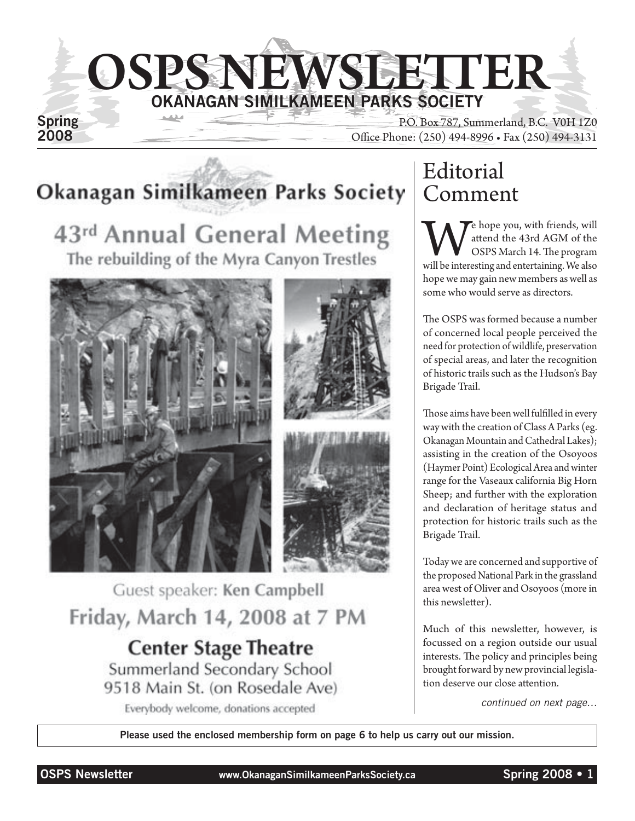

Spring<br>
2008<br>
2008<br>
2008<br>
2008<br>
2008<br>
2008<br>
2008<br>
2008 Office Phone: (250) 494-8996 • Fax (250) 494-3131

# Okanagan Similkameen Parks Society

43rd Annual General Meeting The rebuilding of the Myra Canyon Trestles







Guest speaker: Ken Campbell Friday, March 14, 2008 at 7 PM **Center Stage Theatre** Summerland Secondary School 9518 Main St. (on Rosedale Ave) Everybody welcome, donations accepted

# Editorial Comment

We hope you, with friends, will<br>attend the 43rd AGM of the<br>will be interesting and entertaining. We also attend the 43rd AGM of the OSPS March 14. The program hope we may gain new members as well as some who would serve as directors.

The OSPS was formed because a number of concerned local people perceived the need for protection of wildlife, preservation of special areas, and later the recognition of historic trails such as the Hudson's Bay Brigade Trail.

Those aims have been well fulfilled in every way with the creation of Class A Parks (eg. Okanagan Mountain and Cathedral Lakes); assisting in the creation of the Osoyoos (Haymer Point) Ecological Area and winter range for the Vaseaux california Big Horn Sheep; and further with the exploration and declaration of heritage status and protection for historic trails such as the Brigade Trail.

Today we are concerned and supportive of the proposed National Park in the grassland area west of Oliver and Osoyoos (more in this newsletter).

Much of this newsletter, however, is focussed on a region outside our usual interests. The policy and principles being brought forward by new provincial legislation deserve our close attention.

*continued on next page…*

Please used the enclosed membership form on page 6 to help us carry out our mission.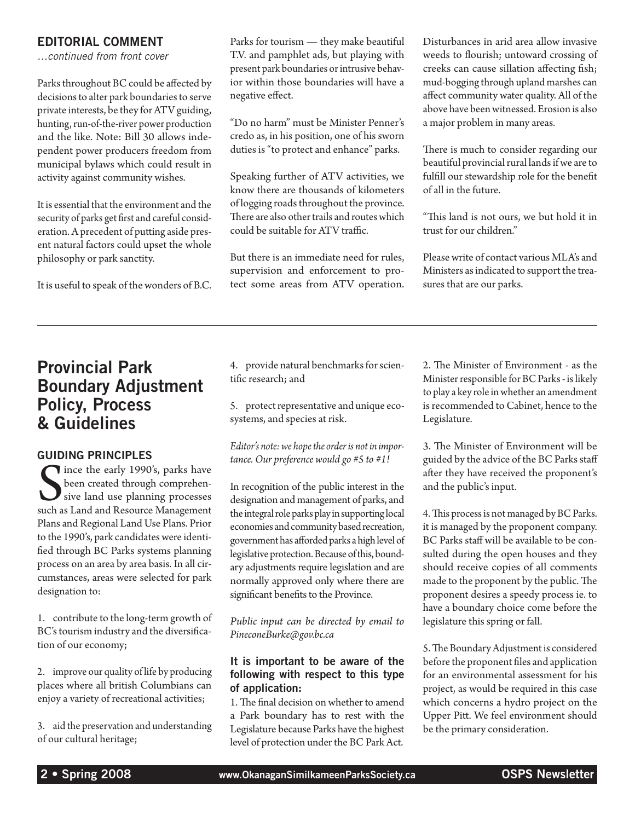### EDITORIAL COMMENT

*…continued from front cover*

Parks throughout BC could be affected by decisions to alter park boundaries to serve private interests, be they for ATV guiding, hunting, run-of-the-river power production and the like. Note: Bill 30 allows independent power producers freedom from municipal bylaws which could result in activity against community wishes.

It is essential that the environment and the security of parks get first and careful consideration. A precedent of putting aside present natural factors could upset the whole philosophy or park sanctity.

It is useful to speak of the wonders of B.C.

Parks for tourism — they make beautiful T.V. and pamphlet ads, but playing with present park boundaries or intrusive behavior within those boundaries will have a negative effect.

"Do no harm" must be Minister Penner's credo as, in his position, one of his sworn duties is "to protect and enhance" parks.

Speaking further of ATV activities, we know there are thousands of kilometers of logging roads throughout the province. There are also other trails and routes which could be suitable for ATV traffic.

But there is an immediate need for rules, supervision and enforcement to protect some areas from ATV operation. Disturbances in arid area allow invasive weeds to flourish; untoward crossing of creeks can cause sillation affecting fish; mud-bogging through upland marshes can affect community water quality. All of the above have been witnessed. Erosion is also a major problem in many areas.

There is much to consider regarding our beautiful provincial rural lands if we are to fulfill our stewardship role for the benefit of all in the future.

"This land is not ours, we but hold it in trust for our children."

Please write of contact various MLA's and Ministers as indicated to support the treasures that are our parks.

## Provincial Park Boundary Adjustment Policy, Process & Guidelines

#### Guiding Principles

Since the early 1990's, parks have<br>been created through comprehensive land use planning processes<br>such as Land and Resource Management Tince the early 1990's, parks have been created through comprehensive land use planning processes Plans and Regional Land Use Plans. Prior to the 1990's, park candidates were identified through BC Parks systems planning process on an area by area basis. In all circumstances, areas were selected for park designation to:

1. contribute to the long-term growth of BC's tourism industry and the diversification of our economy;

2. improve our quality of life by producing places where all british Columbians can enjoy a variety of recreational activities;

3. aid the preservation and understanding of our cultural heritage;

4. provide natural benchmarks for scientific research; and

5. protect representative and unique ecosystems, and species at risk.

*Editor's note: we hope the order is not in importance. Our preference would go #5 to #1!*

In recognition of the public interest in the designation and management of parks, and the integral role parks play in supporting local economies and community based recreation, government has afforded parks a high level of legislative protection. Because of this, boundary adjustments require legislation and are normally approved only where there are significant benefits to the Province.

*Public input can be directed by email to PineconeBurke@gov.bc.ca*

#### It is important to be aware of the following with respect to this type of application:

1. The final decision on whether to amend a Park boundary has to rest with the Legislature because Parks have the highest level of protection under the BC Park Act.

2. The Minister of Environment - as the Minister responsible for BC Parks - is likely to play a key role in whether an amendment is recommended to Cabinet, hence to the Legislature.

3. The Minister of Environment will be guided by the advice of the BC Parks staff after they have received the proponent's and the public's input.

4. This process is not managed by BC Parks. it is managed by the proponent company. BC Parks staff will be available to be consulted during the open houses and they should receive copies of all comments made to the proponent by the public. The proponent desires a speedy process ie. to have a boundary choice come before the legislature this spring or fall.

5. The Boundary Adjustment is considered before the proponent files and application for an environmental assessment for his project, as would be required in this case which concerns a hydro project on the Upper Pitt. We feel environment should be the primary consideration.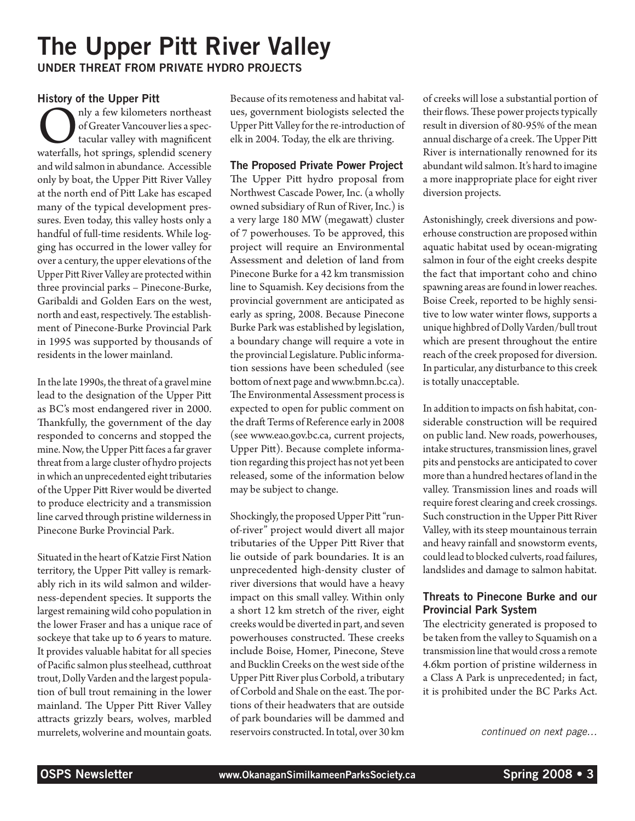# The Upper Pitt River Valley Under Threat from Private Hydro Projects

#### History of the Upper Pitt

Only a few kilometers northeast<br>of Greater Vancouver lies a spec-<br>tacular valley with magnificent<br>waterfalls, hot springs, splendid scenery of Greater Vancouver lies a spectacular valley with magnificent and wild salmon in abundance. Accessible only by boat, the Upper Pitt River Valley at the north end of Pitt Lake has escaped many of the typical development pressures. Even today, this valley hosts only a handful of full-time residents. While logging has occurred in the lower valley for over a century, the upper elevations of the Upper Pitt River Valley are protected within three provincial parks – Pinecone-Burke, Garibaldi and Golden Ears on the west, north and east, respectively. The establishment of Pinecone-Burke Provincial Park in 1995 was supported by thousands of residents in the lower mainland.

In the late 1990s, the threat of a gravel mine lead to the designation of the Upper Pitt as BC's most endangered river in 2000. Thankfully, the government of the day responded to concerns and stopped the mine. Now, the Upper Pitt faces a far graver threat from a large cluster of hydro projects in which an unprecedented eight tributaries of the Upper Pitt River would be diverted to produce electricity and a transmission line carved through pristine wilderness in Pinecone Burke Provincial Park.

Situated in the heart of Katzie First Nation territory, the Upper Pitt valley is remarkably rich in its wild salmon and wilderness-dependent species. It supports the largest remaining wild coho population in the lower Fraser and has a unique race of sockeye that take up to 6 years to mature. It provides valuable habitat for all species of Pacific salmon plus steelhead, cutthroat trout, Dolly Varden and the largest population of bull trout remaining in the lower mainland. The Upper Pitt River Valley attracts grizzly bears, wolves, marbled murrelets, wolverine and mountain goats.

Because of its remoteness and habitat values, government biologists selected the Upper Pitt Valley for the re-introduction of elk in 2004. Today, the elk are thriving.

#### The Proposed Private Power Project

The Upper Pitt hydro proposal from Northwest Cascade Power, Inc. (a wholly owned subsidiary of Run of River, Inc.) is a very large 180 MW (megawatt) cluster of 7 powerhouses. To be approved, this project will require an Environmental Assessment and deletion of land from Pinecone Burke for a 42 km transmission line to Squamish. Key decisions from the provincial government are anticipated as early as spring, 2008. Because Pinecone Burke Park was established by legislation, a boundary change will require a vote in the provincial Legislature. Public information sessions have been scheduled (see bottom of next page and www.bmn.bc.ca). The Environmental Assessment process is expected to open for public comment on the draft Terms of Reference early in 2008 (see www.eao.gov.bc.ca, current projects, Upper Pitt). Because complete information regarding this project has not yet been released, some of the information below may be subject to change.

Shockingly, the proposed Upper Pitt "runof-river" project would divert all major tributaries of the Upper Pitt River that lie outside of park boundaries. It is an unprecedented high-density cluster of river diversions that would have a heavy impact on this small valley. Within only a short 12 km stretch of the river, eight creeks would be diverted in part, and seven powerhouses constructed. These creeks include Boise, Homer, Pinecone, Steve and Bucklin Creeks on the west side of the Upper Pitt River plus Corbold, a tributary of Corbold and Shale on the east. The portions of their headwaters that are outside of park boundaries will be dammed and reservoirs constructed. In total, over 30 km

of creeks will lose a substantial portion of their flows. These power projects typically result in diversion of 80-95% of the mean annual discharge of a creek. The Upper Pitt River is internationally renowned for its abundant wild salmon. It's hard to imagine a more inappropriate place for eight river diversion projects.

Astonishingly, creek diversions and powerhouse construction are proposed within aquatic habitat used by ocean-migrating salmon in four of the eight creeks despite the fact that important coho and chino spawning areas are found in lower reaches. Boise Creek, reported to be highly sensitive to low water winter flows, supports a unique highbred of Dolly Varden/bull trout which are present throughout the entire reach of the creek proposed for diversion. In particular, any disturbance to this creek is totally unacceptable.

In addition to impacts on fish habitat, considerable construction will be required on public land. New roads, powerhouses, intake structures, transmission lines, gravel pits and penstocks are anticipated to cover more than a hundred hectares of land in the valley. Transmission lines and roads will require forest clearing and creek crossings. Such construction in the Upper Pitt River Valley, with its steep mountainous terrain and heavy rainfall and snowstorm events, could lead to blocked culverts, road failures, landslides and damage to salmon habitat.

### Threats to Pinecone Burke and our Provincial Park System

The electricity generated is proposed to be taken from the valley to Squamish on a transmission line that would cross a remote 4.6km portion of pristine wilderness in a Class A Park is unprecedented; in fact, it is prohibited under the BC Parks Act.

*continued on next page…*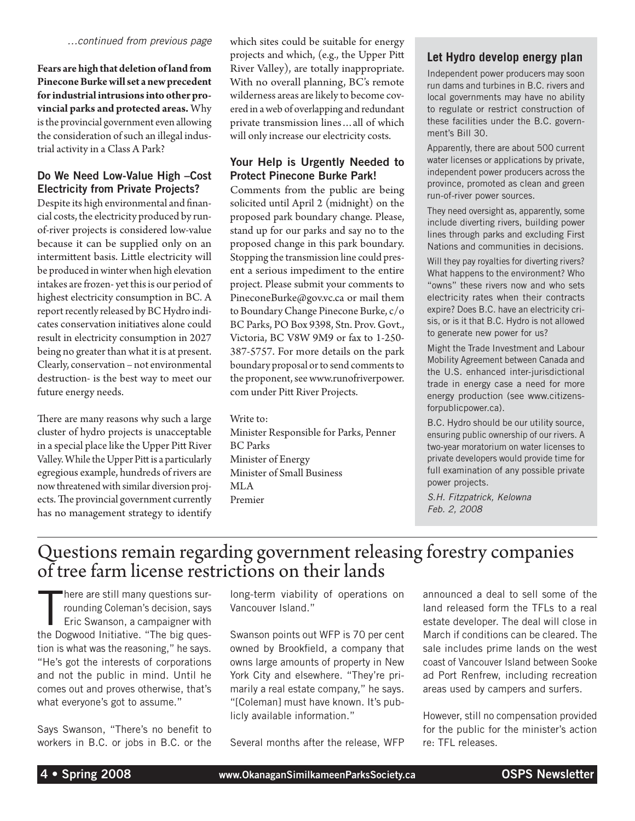*…continued from previous page*

**Fears are high that deletion of land from Pinecone Burke will set a new precedent for industrial intrusions into other provincial parks and protected areas.** Why is the provincial government even allowing the consideration of such an illegal industrial activity in a Class A Park?

#### Do We Need Low-Value High –Cost Electricity from Private Projects?

Despite its high environmental and financial costs, the electricity produced by runof-river projects is considered low-value because it can be supplied only on an intermittent basis. Little electricity will be produced in winter when high elevation intakes are frozen- yet this is our period of highest electricity consumption in BC. A report recently released by BC Hydro indicates conservation initiatives alone could result in electricity consumption in 2027 being no greater than what it is at present. Clearly, conservation – not environmental destruction- is the best way to meet our future energy needs.

There are many reasons why such a large cluster of hydro projects is unacceptable in a special place like the Upper Pitt River Valley. While the Upper Pitt is a particularly egregious example, hundreds of rivers are now threatened with similar diversion projects. The provincial government currently has no management strategy to identify which sites could be suitable for energy projects and which, (e.g., the Upper Pitt River Valley), are totally inappropriate. With no overall planning, BC's remote wilderness areas are likely to become covered in a web of overlapping and redundant private transmission lines…all of which will only increase our electricity costs.

#### Your Help is Urgently Needed to Protect Pinecone Burke Park!

Comments from the public are being solicited until April 2 (midnight) on the proposed park boundary change. Please, stand up for our parks and say no to the proposed change in this park boundary. Stopping the transmission line could present a serious impediment to the entire project. Please submit your comments to PineconeBurke@gov.vc.ca or mail them to Boundary Change Pinecone Burke, c/o BC Parks, PO Box 9398, Stn. Prov. Govt., Victoria, BC V8W 9M9 or fax to 1-250- 387-5757. For more details on the park boundary proposal or to send comments to the proponent, see www.runofriverpower. com under Pitt River Projects.

Write to: Minister Responsible for Parks, Penner BC Parks Minister of Energy Minister of Small Business MLA Premier

### **Let Hydro develop energy plan**

Independent power producers may soon run dams and turbines in B.C. rivers and local governments may have no ability to regulate or restrict construction of these facilities under the B.C. government's Bill 30.

Apparently, there are about 500 current water licenses or applications by private, independent power producers across the province, promoted as clean and green run-of-river power sources.

They need oversight as, apparently, some include diverting rivers, building power lines through parks and excluding First Nations and communities in decisions.

Will they pay royalties for diverting rivers? What happens to the environment? Who "owns" these rivers now and who sets electricity rates when their contracts expire? Does B.C. have an electricity crisis, or is it that B.C. Hydro is not allowed to generate new power for us?

Might the Trade Investment and Labour Mobility Agreement between Canada and the U.S. enhanced inter-jurisdictional trade in energy case a need for more energy production (see www.citizensforpublicpower.ca).

B.C. Hydro should be our utility source, ensuring public ownership of our rivers. A two-year moratorium on water licenses to private developers would provide time for full examination of any possible private power projects.

*S.H. Fitzpatrick, Kelowna Feb. 2, 2008*

# Questions remain regarding government releasing forestry companies of tree farm license restrictions on their lands

T here are still many questions surrounding Coleman's decision, says Eric Swanson, a campaigner with the Dogwood Initiative. "The big question is what was the reasoning," he says. "He's got the interests of corporations and not the public in mind. Until he comes out and proves otherwise, that's what everyone's got to assume."

Says Swanson, "There's no benefit to workers in B.C. or jobs in B.C. or the long-term viability of operations on Vancouver Island."

Swanson points out WFP is 70 per cent owned by Brookfield, a company that owns large amounts of property in New York City and elsewhere. "They're primarily a real estate company," he says. "[Coleman] must have known. It's publicly available information."

Several months after the release, WFP

announced a deal to sell some of the land released form the TFLs to a real estate developer. The deal will close in March if conditions can be cleared. The sale includes prime lands on the west coast of Vancouver Island between Sooke ad Port Renfrew, including recreation areas used by campers and surfers.

However, still no compensation provided for the public for the minister's action re: TFL releases.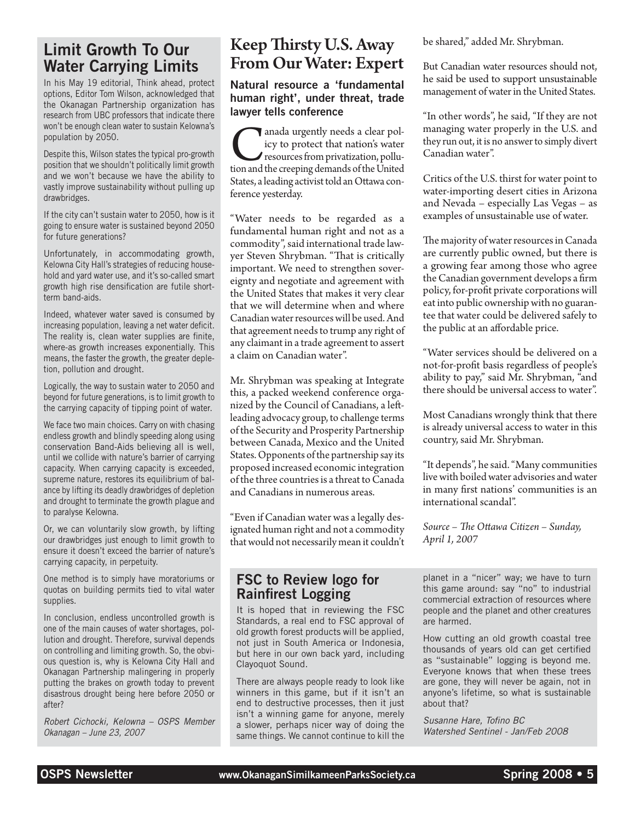### Limit Growth To Our Water Carrying Limits

In his May 19 editorial, Think ahead, protect options, Editor Tom Wilson, acknowledged that the Okanagan Partnership organization has research from UBC professors that indicate there won't be enough clean water to sustain Kelowna's population by 2050.

Despite this, Wilson states the typical pro-growth position that we shouldn't politically limit growth and we won't because we have the ability to vastly improve sustainability without pulling up drawbridges.

If the city can't sustain water to 2050, how is it going to ensure water is sustained beyond 2050 for future generations?

Unfortunately, in accommodating growth, Kelowna City Hall's strategies of reducing household and yard water use, and it's so-called smart growth high rise densification are futile shortterm band-aids.

Indeed, whatever water saved is consumed by increasing population, leaving a net water deficit. The reality is, clean water supplies are finite, where-as growth increases exponentially. This means, the faster the growth, the greater depletion, pollution and drought.

Logically, the way to sustain water to 2050 and beyond for future generations, is to limit growth to the carrying capacity of tipping point of water.

We face two main choices. Carry on with chasing endless growth and blindly speeding along using conservation Band-Aids believing all is well, until we collide with nature's barrier of carrying capacity. When carrying capacity is exceeded, supreme nature, restores its equilibrium of balance by lifting its deadly drawbridges of depletion and drought to terminate the growth plague and to paralyse Kelowna.

Or, we can voluntarily slow growth, by lifting our drawbridges just enough to limit growth to ensure it doesn't exceed the barrier of nature's carrying capacity, in perpetuity.

One method is to simply have moratoriums or quotas on building permits tied to vital water supplies.

In conclusion, endless uncontrolled growth is one of the main causes of water shortages, pollution and drought. Therefore, survival depends on controlling and limiting growth. So, the obvious question is, why is Kelowna City Hall and Okanagan Partnership malingering in properly putting the brakes on growth today to prevent disastrous drought being here before 2050 or after?

*Robert Cichocki, Kelowna – OSPS Member Okanagan – June 23, 2007*

# Keep Thirsty U.S. Away From Our Water: Expert

Natural resource a 'fundamental human right', under threat, trade lawyer tells conference

anada urgently needs a clear policy to protect that nation's water<br>resources from privatization, pollu-<br>tion and the creeping demands of the United icy to protect that nation's water resources from privatization, pollution and the creeping demands of the United States, a leading activist told an Ottawa conference yesterday.

"Water needs to be regarded as a fundamental human right and not as a commodity", said international trade lawyer Steven Shrybman. "That is critically important. We need to strengthen sovereignty and negotiate and agreement with the United States that makes it very clear that we will determine when and where Canadian water resources will be used. And that agreement needs to trump any right of any claimant in a trade agreement to assert a claim on Canadian water".

Mr. Shrybman was speaking at Integrate this, a packed weekend conference organized by the Council of Canadians, a leftleading advocacy group, to challenge terms of the Security and Prosperity Partnership between Canada, Mexico and the United States. Opponents of the partnership say its proposed increased economic integration of the three countries is a threat to Canada and Canadians in numerous areas.

"Even if Canadian water was a legally designated human right and not a commodity that would not necessarily mean it couldn't

### FSC to Review logo for Rainfirest Logging

It is hoped that in reviewing the FSC Standards, a real end to FSC approval of old growth forest products will be applied, not just in South America or Indonesia, but here in our own back yard, including Clayoquot Sound.

There are always people ready to look like winners in this game, but if it isn't an end to destructive processes, then it just isn't a winning game for anyone, merely a slower, perhaps nicer way of doing the same things. We cannot continue to kill the be shared," added Mr. Shrybman.

But Canadian water resources should not, he said be used to support unsustainable management of water in the United States.

"In other words", he said, "If they are not managing water properly in the U.S. and they run out, it is no answer to simply divert Canadian water".

Critics of the U.S. thirst for water point to water-importing desert cities in Arizona and Nevada – especially Las Vegas – as examples of unsustainable use of water.

The majority of water resources in Canada are currently public owned, but there is a growing fear among those who agree the Canadian government develops a firm policy, for-profit private corporations will eat into public ownership with no guarantee that water could be delivered safely to the public at an affordable price.

"Water services should be delivered on a not-for-profit basis regardless of people's ability to pay," said Mr. Shrybman, "and there should be universal access to water".

Most Canadians wrongly think that there is already universal access to water in this country, said Mr. Shrybman.

"It depends", he said. "Many communities live with boiled water advisories and water in many first nations' communities is an international scandal".

*Source – The Ottawa Citizen – Sunday, April 1, 2007*

planet in a "nicer" way; we have to turn this game around: say "no" to industrial commercial extraction of resources where people and the planet and other creatures are harmed.

How cutting an old growth coastal tree thousands of years old can get certified as "sustainable" logging is beyond me. Everyone knows that when these trees are gone, they will never be again, not in anyone's lifetime, so what is sustainable about that?

*Susanne Hare, Tofino BC Watershed Sentinel - Jan/Feb 2008*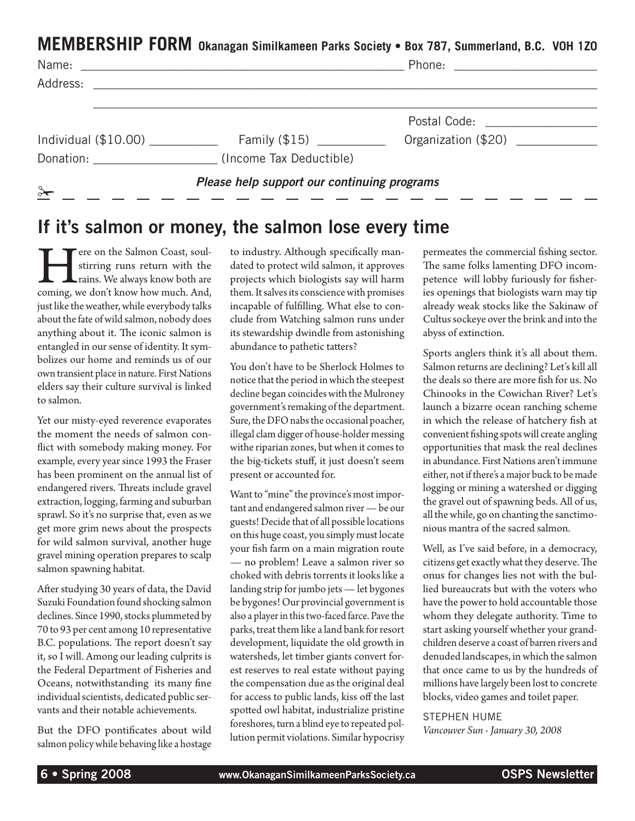**MEMBERSHIP FORM Okanagan Similkameen Parks Society • Box 787, Summerland, B.C. V0H 1Z0**

| Name:                                                                                                                                                                                                                         | <u> 1980 - Andrea Andrewski, politik američki politik († 1951)</u> |                             |  |
|-------------------------------------------------------------------------------------------------------------------------------------------------------------------------------------------------------------------------------|--------------------------------------------------------------------|-----------------------------|--|
| Address:                                                                                                                                                                                                                      |                                                                    |                             |  |
|                                                                                                                                                                                                                               |                                                                    | Postal Code: National Code: |  |
| Individual $(\$10.00)$                                                                                                                                                                                                        | Family $(\$15)$ ___________                                        | Organization (\$20)         |  |
| Donation: the contract of the contract of the contract of the contract of the contract of the contract of the contract of the contract of the contract of the contract of the contract of the contract of the contract of the | (Income Tax Deductible)                                            |                             |  |
| $\rightarrow$<br><u> 1990 - Jan James James III, martx</u>                                                                                                                                                                    | Please help support our continuing programs                        |                             |  |

# If it's salmon or money, the salmon lose every time

There on the Salmon Coast, soul-<br>stirring runs return with the<br>coming, we don't know how much. And, stirring runs return with the rains. We always know both are just like the weather, while everybody talks about the fate of wild salmon, nobody does anything about it. The iconic salmon is entangled in our sense of identity. It symbolizes our home and reminds us of our own transient place in nature. First Nations elders say their culture survival is linked to salmon.

Yet our misty-eyed reverence evaporates the moment the needs of salmon conflict with somebody making money. For example, every year since 1993 the Fraser has been prominent on the annual list of endangered rivers. Threats include gravel extraction, logging, farming and suburban sprawl. So it's no surprise that, even as we get more grim news about the prospects for wild salmon survival, another huge gravel mining operation prepares to scalp salmon spawning habitat.

After studying 30 years of data, the David Suzuki Foundation found shocking salmon declines. Since 1990, stocks plummeted by 70 to 93 per cent among 10 representative B.C. populations. The report doesn't say it, so I will. Among our leading culprits is the Federal Department of Fisheries and Oceans, notwithstanding its many fine individual scientists, dedicated public servants and their notable achievements.

But the DFO pontificates about wild salmon policy while behaving like a hostage to industry. Although specifically mandated to protect wild salmon, it approves projects which biologists say will harm them. It salves its conscience with promises incapable of fulfilling. What else to conclude from Watching salmon runs under its stewardship dwindle from astonishing abundance to pathetic tatters?

You don't have to be Sherlock Holmes to notice that the period in which the steepest decline began coincides with the Mulroney government's remaking of the department. Sure, the DFO nabs the occasional poacher, illegal clam digger of house-holder messing withe riparian zones, but when it comes to the big-tickets stuff, it just doesn't seem present or accounted for.

Want to "mine" the province's most important and endangered salmon river — be our guests! Decide that of all possible locations on this huge coast, you simply must locate your fish farm on a main migration route — no problem! Leave a salmon river so choked with debris torrents it looks like a landing strip for jumbo jets — let bygones be bygones! Our provincial government is also a player in this two-faced farce. Pave the parks, treat them like a land bank for resort development, liquidate the old growth in watersheds, let timber giants convert forest reserves to real estate without paying the compensation due as the original deal for access to public lands, kiss off the last spotted owl habitat, industrialize pristine foreshores, turn a blind eye to repeated pollution permit violations. Similar hypocrisy permeates the commercial fishing sector. The same folks lamenting DFO incompetence will lobby furiously for fisheries openings that biologists warn may tip already weak stocks like the Sakinaw of Cultus sockeye over the brink and into the abyss of extinction.

Sports anglers think it's all about them. Salmon returns are declining? Let's kill all the deals so there are more fish for us. No Chinooks in the Cowichan River? Let's launch a bizarre ocean ranching scheme in which the release of hatchery fish at convenient fishing spots will create angling opportunities that mask the real declines in abundance. First Nations aren't immune either, not if there's a major buck to be made logging or mining a watershed or digging the gravel out of spawning beds. All of us, all the while, go on chanting the sanctimonious mantra of the sacred salmon.

Well, as I've said before, in a democracy, citizens get exactly what they deserve. The onus for changes lies not with the bullied bureaucrats but with the voters who have the power to hold accountable those whom they delegate authority. Time to start asking yourself whether your grandchildren deserve a coast of barren rivers and denuded landscapes, in which the salmon that once came to us by the hundreds of millions have largely been lost to concrete blocks, video games and toilet paper.

Stephen Hume

*Vancouver Sun - January 30, 2008*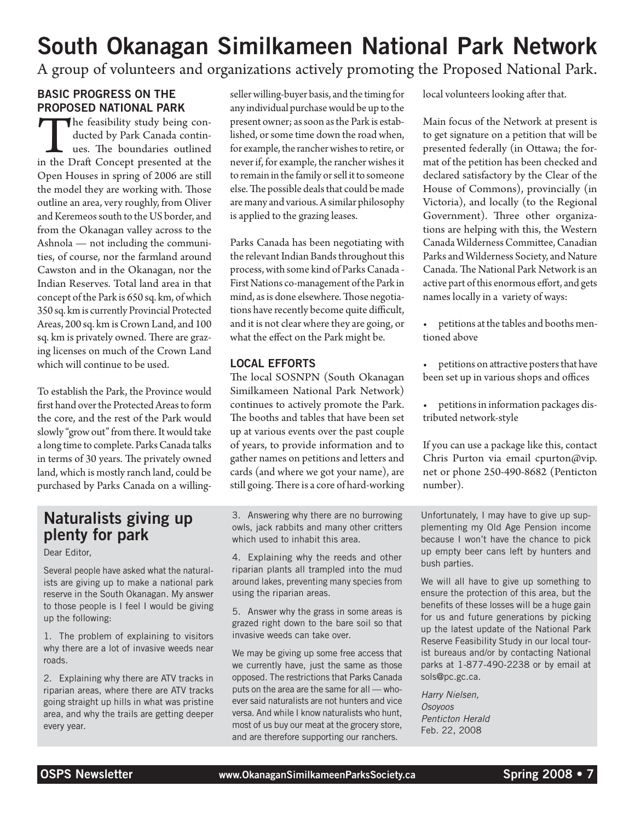# South Okanagan Similkameen National Park Network

A group of volunteers and organizations actively promoting the Proposed National Park.

### Basic progress on the proposed National Park

The feasibility study being conducted by Park Canada continues. The boundaries outlined in the Draft Concept presented at the ducted by Park Canada continues. The boundaries outlined Open Houses in spring of 2006 are still the model they are working with. Those outline an area, very roughly, from Oliver and Keremeos south to the US border, and from the Okanagan valley across to the Ashnola — not including the communities, of course, nor the farmland around Cawston and in the Okanagan, nor the Indian Reserves. Total land area in that concept of the Park is 650 sq. km, of which 350 sq. km is currently Provincial Protected Areas, 200 sq. km is Crown Land, and 100 sq. km is privately owned. There are grazing licenses on much of the Crown Land which will continue to be used.

To establish the Park, the Province would first hand over the Protected Areas to form the core, and the rest of the Park would slowly "grow out" from there. It would take a long time to complete. Parks Canada talks in terms of 30 years. The privately owned land, which is mostly ranch land, could be purchased by Parks Canada on a willing-

## Naturalists giving up plenty for park

Dear Editor,

Several people have asked what the naturalists are giving up to make a national park reserve in the South Okanagan. My answer to those people is I feel I would be giving up the following:

1. The problem of explaining to visitors why there are a lot of invasive weeds near roads.

2. Explaining why there are ATV tracks in riparian areas, where there are ATV tracks going straight up hills in what was pristine area, and why the trails are getting deeper every year.

seller willing-buyer basis, and the timing for any individual purchase would be up to the present owner; as soon as the Park is established, or some time down the road when, for example, the rancher wishes to retire, or never if, for example, the rancher wishes it to remain in the family or sell it to someone else. The possible deals that could be made are many and various. A similar philosophy is applied to the grazing leases.

Parks Canada has been negotiating with the relevant Indian Bands throughout this process, with some kind of Parks Canada - First Nations co-management of the Park in mind, as is done elsewhere. Those negotiations have recently become quite difficult, and it is not clear where they are going, or what the effect on the Park might be.

### Local Efforts

The local SOSNPN (South Okanagan Similkameen National Park Network) continues to actively promote the Park. The booths and tables that have been set up at various events over the past couple of years, to provide information and to gather names on petitions and letters and cards (and where we got your name), are still going. There is a core of hard-working

3. Answering why there are no burrowing owls, jack rabbits and many other critters which used to inhabit this area.

4. Explaining why the reeds and other riparian plants all trampled into the mud around lakes, preventing many species from using the riparian areas.

5. Answer why the grass in some areas is grazed right down to the bare soil so that invasive weeds can take over.

We may be giving up some free access that we currently have, just the same as those opposed. The restrictions that Parks Canada puts on the area are the same for all — whoever said naturalists are not hunters and vice versa. And while I know naturalists who hunt, most of us buy our meat at the grocery store, and are therefore supporting our ranchers.

local volunteers looking after that.

Main focus of the Network at present is to get signature on a petition that will be presented federally (in Ottawa; the format of the petition has been checked and declared satisfactory by the Clear of the House of Commons), provincially (in Victoria), and locally (to the Regional Government). Three other organizations are helping with this, the Western Canada Wilderness Committee, Canadian Parks and Wilderness Society, and Nature Canada. The National Park Network is an active part of this enormous effort, and gets names locally in a variety of ways:

- petitions at the tables and booths mentioned above
- petitions on attractive posters that have been set up in various shops and offices
- petitions in information packages distributed network-style

If you can use a package like this, contact Chris Purton via email cpurton@vip. net or phone 250-490-8682 (Penticton number).

Unfortunately, I may have to give up supplementing my Old Age Pension income because I won't have the chance to pick up empty beer cans left by hunters and bush parties.

We will all have to give up something to ensure the protection of this area, but the benefits of these losses will be a huge gain for us and future generations by picking up the latest update of the National Park Reserve Feasibility Study in our local tourist bureaus and/or by contacting National parks at 1-877-490-2238 or by email at sols@pc.gc.ca.

*Harry Nielsen, Osoyoos Penticton Herald* Feb. 22, 2008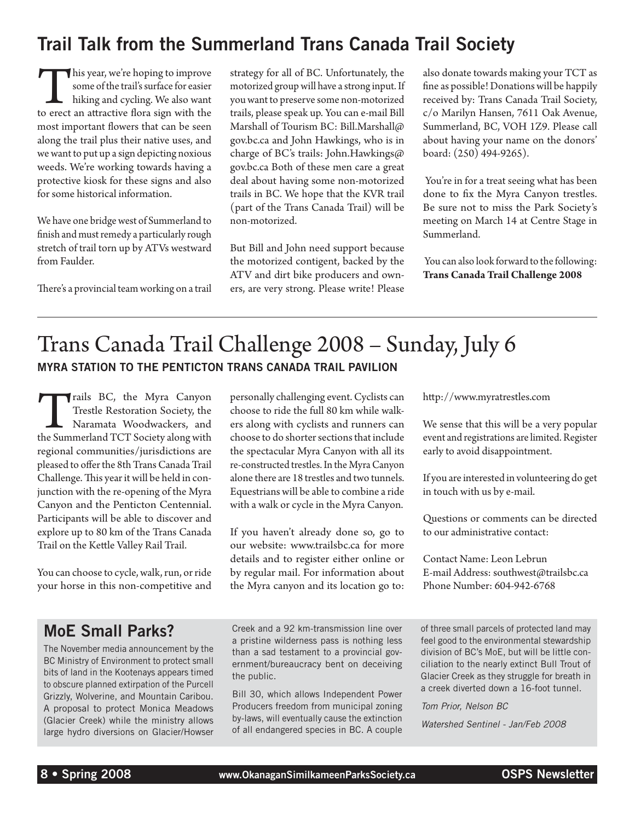# Trail Talk from the Summerland Trans Canada Trail Society

This year, we're hoping to improve some of the trail's surface for easier hiking and cycling. We also want to erect an attractive flora sign with the some of the trail's surface for easier hiking and cycling. We also want most important flowers that can be seen along the trail plus their native uses, and we want to put up a sign depicting noxious weeds. We're working towards having a protective kiosk for these signs and also for some historical information.

We have one bridge west of Summerland to finish and must remedy a particularly rough stretch of trail torn up by ATVs westward from Faulder.

There's a provincial team working on a trail

strategy for all of BC. Unfortunately, the motorized group will have a strong input. If you want to preserve some non-motorized trails, please speak up. You can e-mail Bill Marshall of Tourism BC: Bill.Marshall@ gov.bc.ca and John Hawkings, who is in charge of BC's trails: John.Hawkings@ gov.bc.ca Both of these men care a great deal about having some non-motorized trails in BC. We hope that the KVR trail (part of the Trans Canada Trail) will be non-motorized.

But Bill and John need support because the motorized contigent, backed by the ATV and dirt bike producers and owners, are very strong. Please write! Please also donate towards making your TCT as fine as possible! Donations will be happily received by: Trans Canada Trail Society, c/o Marilyn Hansen, 7611 Oak Avenue, Summerland, BC, VOH 1Z9. Please call about having your name on the donors' board: (250) 494-9265).

 You're in for a treat seeing what has been done to fix the Myra Canyon trestles. Be sure not to miss the Park Society's meeting on March 14 at Centre Stage in Summerland.

 You can also look forward to the following: **Trans Canada Trail Challenge 2008**

# Trans Canada Trail Challenge 2008 – Sunday, July 6 Myra Station to the Penticton Trans Canada Trail Pavilion

Trails BC, the Myra Canyon<br>Trestle Restoration Society, the<br>Naramata Woodwackers, and<br>the Summerland TCT Society along with Trestle Restoration Society, the Naramata Woodwackers, and regional communities/jurisdictions are pleased to offer the 8th Trans Canada Trail Challenge. This year it will be held in conjunction with the re-opening of the Myra Canyon and the Penticton Centennial. Participants will be able to discover and explore up to 80 km of the Trans Canada Trail on the Kettle Valley Rail Trail.

You can choose to cycle, walk, run, or ride your horse in this non-competitive and

personally challenging event. Cyclists can choose to ride the full 80 km while walkers along with cyclists and runners can choose to do shorter sections that include the spectacular Myra Canyon with all its re-constructed trestles. In the Myra Canyon alone there are 18 trestles and two tunnels. Equestrians will be able to combine a ride with a walk or cycle in the Myra Canyon.

If you haven't already done so, go to our website: www.trailsbc.ca for more details and to register either online or by regular mail. For information about the Myra canyon and its location go to: http://www.myratrestles.com

We sense that this will be a very popular event and registrations are limited. Register early to avoid disappointment.

If you are interested in volunteering do get in touch with us by e-mail.

Questions or comments can be directed to our administrative contact:

Contact Name: Leon Lebrun E-mail Address: southwest@trailsbc.ca Phone Number: 604-942-6768

# MoE Small Parks?

The November media announcement by the BC Ministry of Environment to protect small bits of land in the Kootenays appears timed to obscure planned extirpation of the Purcell Grizzly, Wolverine, and Mountain Caribou. A proposal to protect Monica Meadows (Glacier Creek) while the ministry allows large hydro diversions on Glacier/Howser Creek and a 92 km-transmission line over a pristine wilderness pass is nothing less than a sad testament to a provincial government/bureaucracy bent on deceiving the public.

Bill 30, which allows Independent Power Producers freedom from municipal zoning by-laws, will eventually cause the extinction of all endangered species in BC. A couple

of three small parcels of protected land may feel good to the environmental stewardship division of BC's MoE, but will be little conciliation to the nearly extinct Bull Trout of Glacier Creek as they struggle for breath in a creek diverted down a 16-foot tunnel.

*Tom Prior, Nelson BC Watershed Sentinel - Jan/Feb 2008*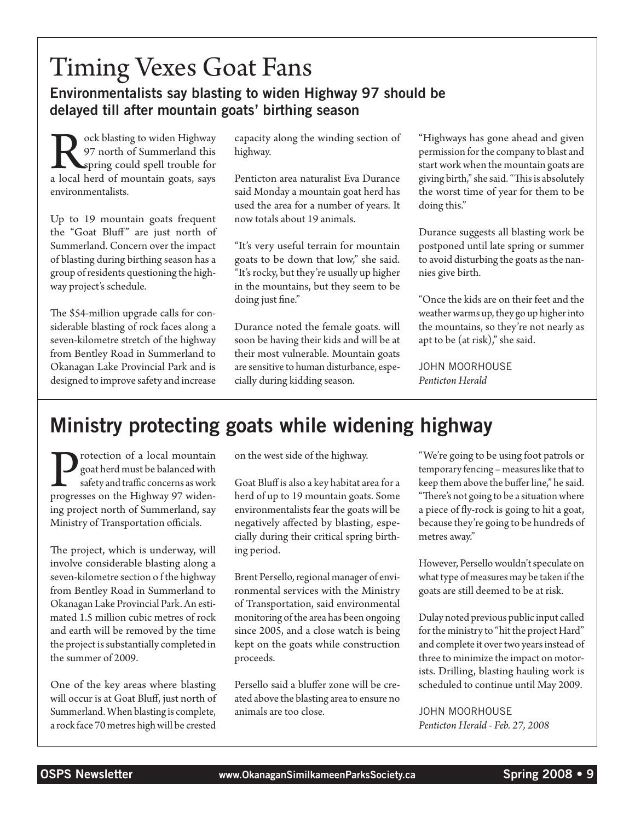# Timing Vexes Goat Fans Environmentalists say blasting to widen Highway 97 should be delayed till after mountain goats' birthing season

**Rock blasting to widen Highway**<br>97 north of Summerland this<br>spring could spell trouble for<br>a local herd of mountain goats, says 97 north of Summerland this spring could spell trouble for environmentalists.

Up to 19 mountain goats frequent the "Goat Bluff" are just north of Summerland. Concern over the impact of blasting during birthing season has a group of residents questioning the highway project's schedule.

The \$54-million upgrade calls for considerable blasting of rock faces along a seven-kilometre stretch of the highway from Bentley Road in Summerland to Okanagan Lake Provincial Park and is designed to improve safety and increase

capacity along the winding section of highway.

Penticton area naturalist Eva Durance said Monday a mountain goat herd has used the area for a number of years. It now totals about 19 animals.

"It's very useful terrain for mountain goats to be down that low," she said. "It's rocky, but they're usually up higher in the mountains, but they seem to be doing just fine."

Durance noted the female goats. will soon be having their kids and will be at their most vulnerable. Mountain goats are sensitive to human disturbance, especially during kidding season.

"Highways has gone ahead and given permission for the company to blast and start work when the mountain goats are giving birth," she said. "This is absolutely the worst time of year for them to be doing this."

Durance suggests all blasting work be postponed until late spring or summer to avoid disturbing the goats as the nannies give birth.

"Once the kids are on their feet and the weather warms up, they go up higher into the mountains, so they're not nearly as apt to be (at risk)," she said.

John Moorhouse *Penticton Herald*

# Ministry protecting goats while widening highway

**P**rotection of a local mountain<br>
safety and traffic concerns as work<br>
progresses on the Highway 97 widengoat herd must be balanced with safety and traffic concerns as work ing project north of Summerland, say Ministry of Transportation officials.

The project, which is underway, will involve considerable blasting along a seven-kilometre section o f the highway from Bentley Road in Summerland to Okanagan Lake Provincial Park. An estimated 1.5 million cubic metres of rock and earth will be removed by the time the project is substantially completed in the summer of 2009.

One of the key areas where blasting will occur is at Goat Bluff, just north of Summerland. When blasting is complete, a rock face 70 metres high will be crested

on the west side of the highway.

Goat Bluff is also a key habitat area for a herd of up to 19 mountain goats. Some environmentalists fear the goats will be negatively affected by blasting, especially during their critical spring birthing period.

Brent Persello, regional manager of environmental services with the Ministry of Transportation, said environmental monitoring of the area has been ongoing since 2005, and a close watch is being kept on the goats while construction proceeds.

Persello said a bluffer zone will be created above the blasting area to ensure no animals are too close.

"We're going to be using foot patrols or temporary fencing – measures like that to keep them above the buffer line," he said. "There's not going to be a situation where a piece of fly-rock is going to hit a goat, because they're going to be hundreds of metres away."

However, Persello wouldn't speculate on what type of measures may be taken if the goats are still deemed to be at risk.

Dulay noted previous public input called for the ministry to "hit the project Hard" and complete it over two years instead of three to minimize the impact on motorists. Drilling, blasting hauling work is scheduled to continue until May 2009.

John Moorhouse *Penticton Herald - Feb. 27, 2008*